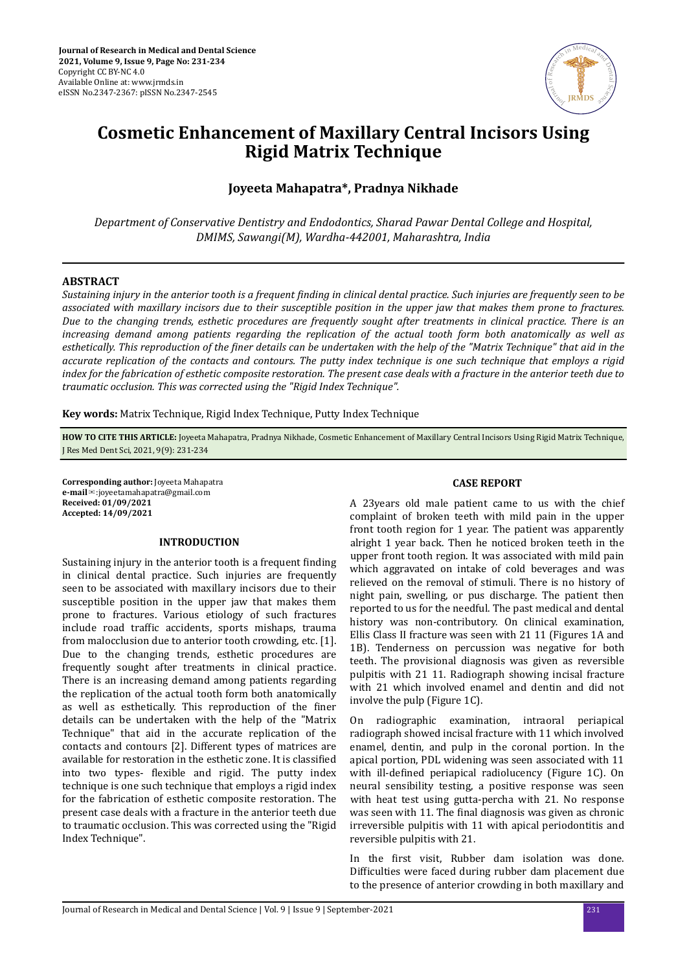

# **Cosmetic Enhancement of Maxillary Central Incisors Using Rigid Matrix Technique**

## **Joyeeta Mahapatra\*, Pradnya Nikhade**

*Department of Conservative Dentistry and Endodontics, Sharad Pawar Dental College and Hospital, DMIMS, Sawangi(M), Wardha-442001, Maharashtra, India*

#### **ABSTRACT**

*Sustaining injury in the anterior tooth is a frequent ϔd in clinical dental practice. Such injuries are frequently seen to be associated with maxillary incisors due to their susceptible position in the upper jaw that makes them prone to fractures. Due to the changing trends, esthetic procedures are frequently sought after treatments in clinical practice. There is an increasing demand among patients regarding the replication of the actual tooth form both anatomically as well as esthetically. This reproduction of the ϔe details can be undertaken with the help of the "Matrix Technique" that aid in the accurate replication of the contacts and contours. The putty index technique is one such technique that employs a rigid index for the fabrication of esthetic composite restoration. The present case deals with a fracture in the anterior teeth due to traumatic occlusion. This was corrected using the "Rigid Index Technique".*

**Key words:** Matrix Technique, Rigid Index Technique, Putty Index Technique

**HOW TO CITE THIS ARTICLE:** Joyeeta Mahapatra, Pradnya Nikhade, Cosmetic Enhancement of Maxillary Central Incisors Using Rigid Matrix Technique, J Res Med Dent Sci, 2021, 9(9): 231-234

**Corresponding author:** Joyeeta Mahapatra **e-mail**✉:joyeetamahapatra@gmail.com **Received: 01/09/2021 Accepted: 14/09/2021** 

#### **INTRODUCTION**

Sustaining injury in the anterior tooth is a frequent finding in clinical dental practice. Such injuries are frequently seen to be associated with maxillary incisors due to their susceptible position in the upper jaw that makes them prone to fractures. Various etiology of such fractures include road traffic accidents, sports mishaps, trauma from malocclusion due to anterior tooth crowding, etc. [1]. Due to the changing trends, esthetic procedures are frequently sought after treatments in clinical practice. There is an increasing demand among patients regarding the replication of the actual tooth form both anatomically as well as esthetically. This reproduction of the finer details can be undertaken with the help of the "Matrix Technique" that aid in the accurate replication of the contacts and contours [2]. Different types of matrices are available for restoration in the esthetic zone. It is classified into two types- flexible and rigid. The putty index technique is one such technique that employs a rigid index for the fabrication of esthetic composite restoration. The present case deals with a fracture in the anterior teeth due to traumatic occlusion. This was corrected using the "Rigid Index Technique".

#### **CASE REPORT**

A 23years old male patient came to us with the chief complaint of broken teeth with mild pain in the upper front tooth region for 1 year. The patient was apparently alright 1 year back. Then he noticed broken teeth in the upper front tooth region. It was associated with mild pain which aggravated on intake of cold beverages and was relieved on the removal of stimuli. There is no history of night pain, swelling, or pus discharge. The patient then reported to us for the needful. The past medical and dental history was non-contributory. On clinical examination, Ellis Class II fracture was seen with 21 11 (Figures 1A and 1B). Tenderness on percussion was negative for both teeth. The provisional diagnosis was given as reversible pulpitis with 21 11. Radiograph showing incisal fracture with 21 which involved enamel and dentin and did not involve the pulp (Figure 1C).

On radiographic examination, intraoral periapical radiograph showed incisal fracture with 11 which involved enamel, dentin, and pulp in the coronal portion. In the apical portion, PDL widening was seen associated with 11 with ill-defined periapical radiolucency (Figure 1C). On neural sensibility testing, a positive response was seen with heat test using gutta-percha with 21. No response was seen with 11. The final diagnosis was given as chronic irreversible pulpitis with 11 with apical periodontitis and reversible pulpitis with 21.

In the first visit, Rubber dam isolation was done. Difficulties were faced during rubber dam placement due to the presence of anterior crowding in both maxillary and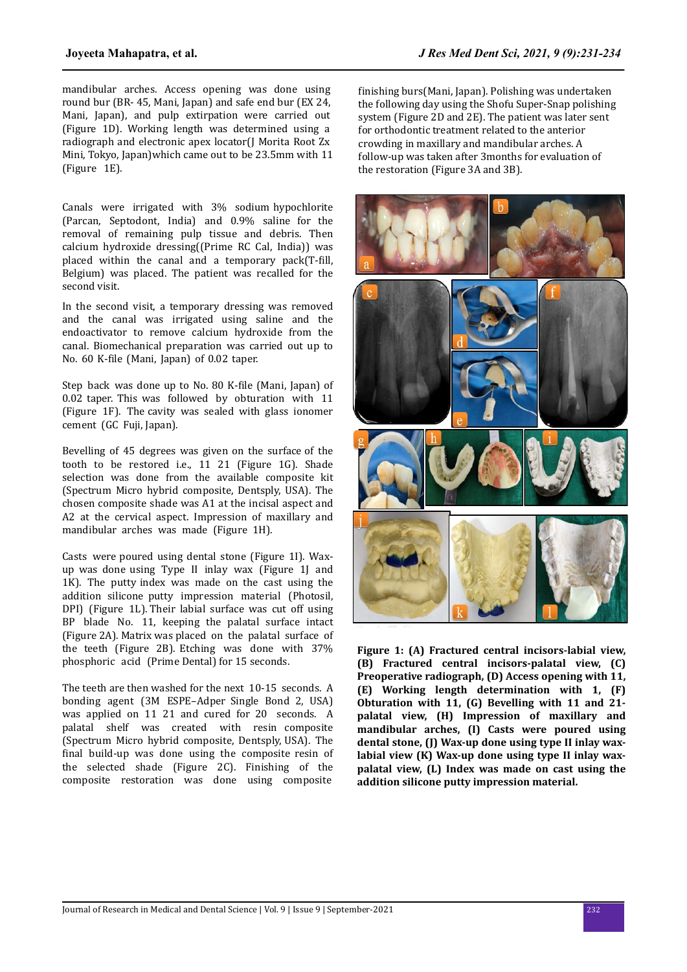mandibular arches. Access opening was done using round bur (BR- 45, Mani, Japan) and safe end bur (EX 24, Mani, Japan), and pulp extirpation were carried out (Figure 1D). Working length was determined using a radiograph and electronic apex locator(J Morita Root Zx Mini, Tokyo, Japan)which came out to be 23.5mm with 11 (Figure 1E).

Canals were irrigated with 3% sodium hypochlorite (Parcan, Septodont, India) and 0.9% saline for the removal of remaining pulp tissue and debris. Then calcium hydroxide dressing((Prime RC Cal, India)) was placed within the canal and a temporary pack $(T$ -fill, Belgium) was placed. The patient was recalled for the second visit.

In the second visit, a temporary dressing was removed and the canal was irrigated using saline and the endoactivator to remove calcium hydroxide from the canal. Biomechanical preparation was carried out up to No. 60 K-file (Mani, Japan) of 0.02 taper.

Step back was done up to No. 80 K-file (Mani, Japan) of 0.02 taper. This was followed by obturation with 11 (Figure 1F). The cavity was sealed with glass ionomer cement (GC Fuji, Japan).

Bevelling of 45 degrees was given on the surface of the tooth to be restored i.e., 11 21 (Figure 1G). Shade selection was done from the available composite kit (Spectrum Micro hybrid composite, Dentsply, USA). The chosen composite shade was A1 at the incisal aspect and A2 at the cervical aspect. Impression of maxillary and mandibular arches was made (Figure 1H).

Casts were poured using dental stone (Figure 1I). Waxup was done using Type II inlay wax (Figure 1J and 1K). The putty index was made on the cast using the addition silicone putty impression material (Photosil, DPI) (Figure 1L). Their labial surface was cut off using BP blade No. 11, keeping the palatal surface intact (Figure 2A). Matrix was placed on the palatal surface of the teeth (Figure 2B). Etching was done with 37% phosphoric acid (Prime Dental) for 15 seconds.

The teeth are then washed for the next 10-15 seconds. A bonding agent (3M ESPE–Adper Single Bond 2, USA) was applied on 11 21 and cured for 20 seconds. A palatal shelf was created with resin composite (Spectrum Micro hybrid composite, Dentsply, USA). The final build-up was done using the composite resin of the selected shade (Figure 2C). Finishing of the composite restoration was done using composite

finishing burs(Mani, Japan). Polishing was undertaken the following day using the Shofu Super-Snap polishing system (Figure 2D and 2E). The patient was later sent for orthodontic treatment related to the anterior crowding in maxillary and mandibular arches. A follow-up was taken after 3months for evaluation of the restoration (Figure 3A and 3B).



**Figure 1: (A) Fractured central incisors-labial view, (B) Fractured central incisors-palatal view, (C) Preoperative radiograph, (D) Access opening with 11, (E) Working length determination with 1, (F) Obturation with 11, (G) Bevelling with 11 and 21 palatal view, (H) Impression of maxillary and mandibular arches, (I) Casts were poured using dental stone, (J) Wax-up done using type II inlay waxlabial view (K) Wax-up done using type II inlay waxpalatal view, (L) Index was made on cast using the addition silicone putty impression material.**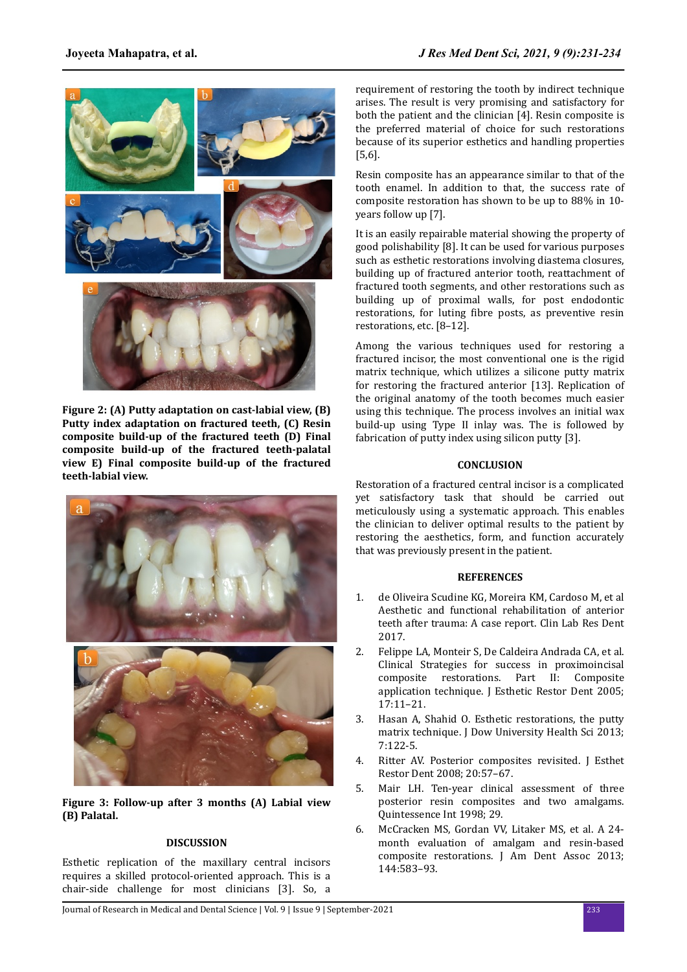

**Figure 2: (A) Putty adaptation on cast-labial view, (B) Putty index adaptation on fractured teeth, (C) Resin composite build-up of the fractured teeth (D) Final composite build-up of the fractured teeth-palatal view E) Final composite build-up of the fractured teeth-labial view.**



**Figure 3: Follow-up after 3 months (A) Labial view (B) Palatal.**

## **DISCUSSION**

Esthetic replication of the maxillary central incisors requires a skilled protocol-oriented approach. This is a chair-side challenge for most clinicians [3]. So, a

requirement of restoring the tooth by indirect technique arises. The result is very promising and satisfactory for both the patient and the clinician [4]. Resin composite is the preferred material of choice for such restorations because of its superior esthetics and handling properties [5,6].

Resin composite has an appearance similar to that of the tooth enamel. In addition to that, the success rate of composite restoration has shown to be up to 88% in 10 years follow up [7].

It is an easily repairable material showing the property of good polishability [8]. It can be used for various purposes such as esthetic restorations involving diastema closures, building up of fractured anterior tooth, reattachment of fractured tooth segments, and other restorations such as building up of proximal walls, for post endodontic restorations, for luting fibre posts, as preventive resin restorations, etc. [8–12].

Among the various techniques used for restoring a fractured incisor, the most conventional one is the rigid matrix technique, which utilizes a silicone putty matrix for restoring the fractured anterior [13]. Replication of the original anatomy of the tooth becomes much easier using this technique. The process involves an initial wax build-up using Type II inlay was. The is followed by fabrication of putty index using silicon putty [3].

#### **CONCLUSION**

Restoration of a fractured central incisor is a complicated yet satisfactory task that should be carried out meticulously using a systematic approach. This enables the clinician to deliver optimal results to the patient by restoring the aesthetics, form, and function accurately that was previously present in the patient.

### **REFERENCES**

- 1. de Oliveira Scudine KG, Moreira KM, Cardoso M, et al Aesthetic and functional rehabilitation of anterior teeth after trauma: A case report. Clin Lab Res Dent 2017.
- 2. Felippe LA, Monteir S, De Caldeira Andrada CA, et al. Clinical Strategies for success in proximoincisal composite restorations. Part II: Composite application technique. J Esthetic Restor Dent 2005; 17:11–21.
- 3. Hasan A, Shahid O. Esthetic restorations, the putty matrix technique. J Dow University Health Sci 2013; 7:122-5.
- 4. Ritter AV. Posterior composites revisited. J Esthet Restor Dent 2008; 20:57–67.
- 5. Mair LH. Ten-year clinical assessment of three posterior resin composites and two amalgams. Quintessence Int 1998; 29.
- 6. McCracken MS, Gordan VV, Litaker MS, et al. A 24 month evaluation of amalgam and resin-based composite restorations. J Am Dent Assoc 2013; 144:583–93.